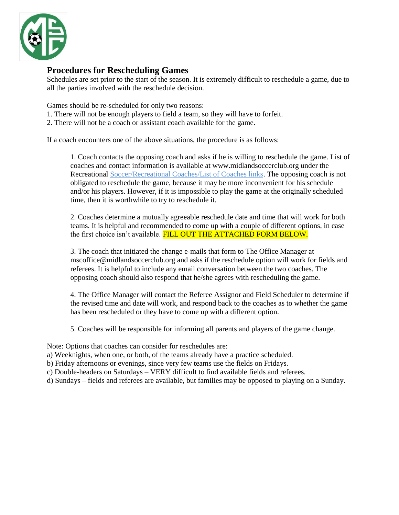

## **Procedures for Rescheduling Games**

Schedules are set prior to the start of the season. It is extremely difficult to reschedule a game, due to all the parties involved with the reschedule decision.

Games should be re-scheduled for only two reasons:

- 1. There will not be enough players to field a team, so they will have to forfeit.
- 2. There will not be a coach or assistant coach available for the game.

If a coach encounters one of the above situations, the procedure is as follows:

1. Coach contacts the opposing coach and asks if he is willing to reschedule the game. List of coaches and contact information is available at www.midlandsoccerclub.org under the Recreational Soccer/Recreational Coaches/List of Coaches links. The opposing coach is not obligated to reschedule the game, because it may be more inconvenient for his schedule and/or his players. However, if it is impossible to play the game at the originally scheduled time, then it is worthwhile to try to reschedule it.

2. Coaches determine a mutually agreeable reschedule date and time that will work for both teams. It is helpful and recommended to come up with a couple of different options, in case the first choice isn't available. FILL OUT THE ATTACHED FORM BELOW.

3. The coach that initiated the change e-mails that form to The Office Manager at mscoffice@midlandsoccerclub.org and asks if the reschedule option will work for fields and referees. It is helpful to include any email conversation between the two coaches. The opposing coach should also respond that he/she agrees with rescheduling the game.

4. The Office Manager will contact the Referee Assignor and Field Scheduler to determine if the revised time and date will work, and respond back to the coaches as to whether the game has been rescheduled or they have to come up with a different option.

5. Coaches will be responsible for informing all parents and players of the game change.

Note: Options that coaches can consider for reschedules are:

- a) Weeknights, when one, or both, of the teams already have a practice scheduled.
- b) Friday afternoons or evenings, since very few teams use the fields on Fridays.
- c) Double-headers on Saturdays VERY difficult to find available fields and referees.
- d) Sundays fields and referees are available, but families may be opposed to playing on a Sunday.